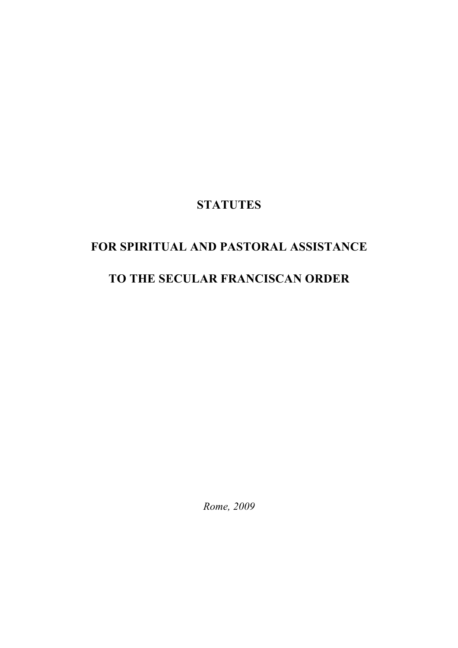## **STATUTES**

# **FOR SPIRITUAL AND PASTORAL ASSISTANCE**

## **TO THE SECULAR FRANCISCAN ORDER**

*Rome, 2009*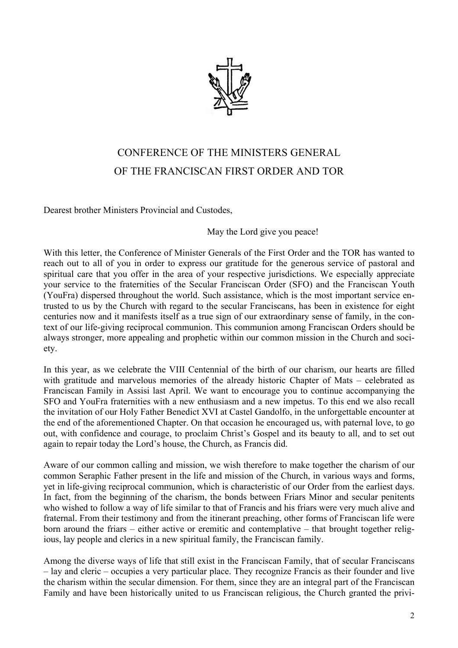

## CONFERENCE OF THE MINISTERS GENERAL OF THE FRANCISCAN FIRST ORDER AND TOR

Dearest brother Ministers Provincial and Custodes,

May the Lord give you peace!

With this letter, the Conference of Minister Generals of the First Order and the TOR has wanted to reach out to all of you in order to express our gratitude for the generous service of pastoral and spiritual care that you offer in the area of your respective jurisdictions. We especially appreciate your service to the fraternities of the Secular Franciscan Order (SFO) and the Franciscan Youth (YouFra) dispersed throughout the world. Such assistance, which is the most important service entrusted to us by the Church with regard to the secular Franciscans, has been in existence for eight centuries now and it manifests itself as a true sign of our extraordinary sense of family, in the context of our life-giving reciprocal communion. This communion among Franciscan Orders should be always stronger, more appealing and prophetic within our common mission in the Church and society.

In this year, as we celebrate the VIII Centennial of the birth of our charism, our hearts are filled with gratitude and marvelous memories of the already historic Chapter of Mats – celebrated as Franciscan Family in Assisi last April. We want to encourage you to continue accompanying the SFO and YouFra fraternities with a new enthusiasm and a new impetus. To this end we also recall the invitation of our Holy Father Benedict XVI at Castel Gandolfo, in the unforgettable encounter at the end of the aforementioned Chapter. On that occasion he encouraged us, with paternal love, to go out, with confidence and courage, to proclaim Christ's Gospel and its beauty to all, and to set out again to repair today the Lord's house, the Church, as Francis did.

Aware of our common calling and mission, we wish therefore to make together the charism of our common Seraphic Father present in the life and mission of the Church, in various ways and forms, yet in life-giving reciprocal communion, which is characteristic of our Order from the earliest days. In fact, from the beginning of the charism, the bonds between Friars Minor and secular penitents who wished to follow a way of life similar to that of Francis and his friars were very much alive and fraternal. From their testimony and from the itinerant preaching, other forms of Franciscan life were born around the friars – either active or eremitic and contemplative – that brought together religious, lay people and clerics in a new spiritual family, the Franciscan family.

Among the diverse ways of life that still exist in the Franciscan Family, that of secular Franciscans – lay and cleric – occupies a very particular place. They recognize Francis as their founder and live the charism within the secular dimension. For them, since they are an integral part of the Franciscan Family and have been historically united to us Franciscan religious, the Church granted the privi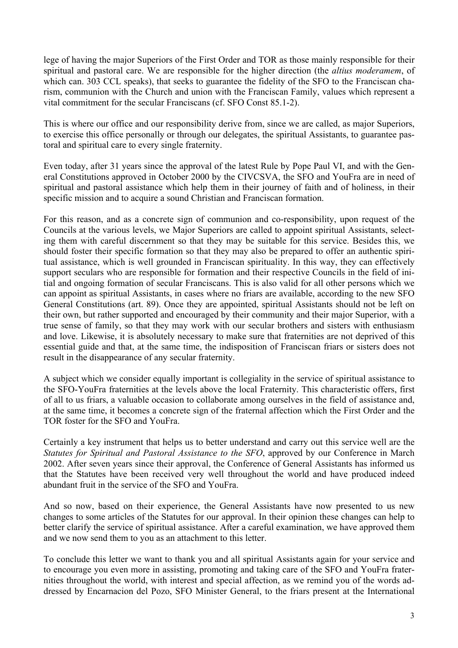lege of having the major Superiors of the First Order and TOR as those mainly responsible for their spiritual and pastoral care. We are responsible for the higher direction (the *altius moderamem*, of which can. 303 CCL speaks), that seeks to guarantee the fidelity of the SFO to the Franciscan charism, communion with the Church and union with the Franciscan Family, values which represent a vital commitment for the secular Franciscans (cf. SFO Const 85.1-2).

This is where our office and our responsibility derive from, since we are called, as major Superiors, to exercise this office personally or through our delegates, the spiritual Assistants, to guarantee pastoral and spiritual care to every single fraternity.

Even today, after 31 years since the approval of the latest Rule by Pope Paul VI, and with the General Constitutions approved in October 2000 by the CIVCSVA, the SFO and YouFra are in need of spiritual and pastoral assistance which help them in their journey of faith and of holiness, in their specific mission and to acquire a sound Christian and Franciscan formation.

For this reason, and as a concrete sign of communion and co-responsibility, upon request of the Councils at the various levels, we Major Superiors are called to appoint spiritual Assistants, selecting them with careful discernment so that they may be suitable for this service. Besides this, we should foster their specific formation so that they may also be prepared to offer an authentic spiritual assistance, which is well grounded in Franciscan spirituality. In this way, they can effectively support seculars who are responsible for formation and their respective Councils in the field of initial and ongoing formation of secular Franciscans. This is also valid for all other persons which we can appoint as spiritual Assistants, in cases where no friars are available, according to the new SFO General Constitutions (art. 89). Once they are appointed, spiritual Assistants should not be left on their own, but rather supported and encouraged by their community and their major Superior, with a true sense of family, so that they may work with our secular brothers and sisters with enthusiasm and love. Likewise, it is absolutely necessary to make sure that fraternities are not deprived of this essential guide and that, at the same time, the indisposition of Franciscan friars or sisters does not result in the disappearance of any secular fraternity.

A subject which we consider equally important is collegiality in the service of spiritual assistance to the SFO-YouFra fraternities at the levels above the local Fraternity. This characteristic offers, first of all to us friars, a valuable occasion to collaborate among ourselves in the field of assistance and, at the same time, it becomes a concrete sign of the fraternal affection which the First Order and the TOR foster for the SFO and YouFra.

Certainly a key instrument that helps us to better understand and carry out this service well are the *Statutes for Spiritual and Pastoral Assistance to the SFO*, approved by our Conference in March 2002. After seven years since their approval, the Conference of General Assistants has informed us that the Statutes have been received very well throughout the world and have produced indeed abundant fruit in the service of the SFO and YouFra.

And so now, based on their experience, the General Assistants have now presented to us new changes to some articles of the Statutes for our approval. In their opinion these changes can help to better clarify the service of spiritual assistance. After a careful examination, we have approved them and we now send them to you as an attachment to this letter.

To conclude this letter we want to thank you and all spiritual Assistants again for your service and to encourage you even more in assisting, promoting and taking care of the SFO and YouFra fraternities throughout the world, with interest and special affection, as we remind you of the words addressed by Encarnacion del Pozo, SFO Minister General, to the friars present at the International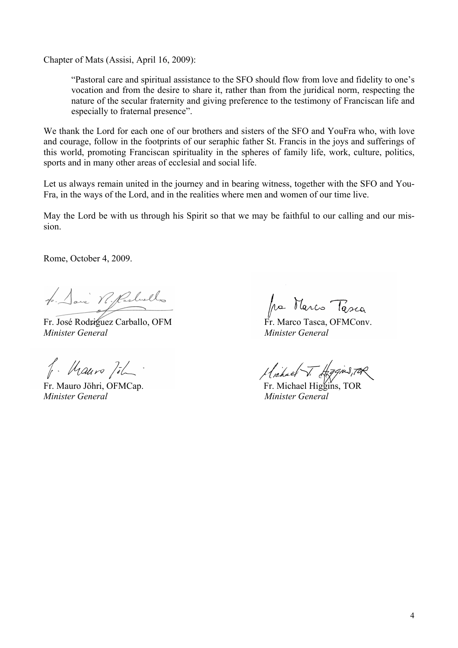Chapter of Mats (Assisi, April 16, 2009):

"Pastoral care and spiritual assistance to the SFO should flow from love and fidelity to one's vocation and from the desire to share it, rather than from the juridical norm, respecting the nature of the secular fraternity and giving preference to the testimony of Franciscan life and especially to fraternal presence".

We thank the Lord for each one of our brothers and sisters of the SFO and YouFra who, with love and courage, follow in the footprints of our seraphic father St. Francis in the joys and sufferings of this world, promoting Franciscan spirituality in the spheres of family life, work, culture, politics, sports and in many other areas of ecclesial and social life.

Let us always remain united in the journey and in bearing witness, together with the SFO and You-Fra, in the ways of the Lord, and in the realities where men and women of our time live.

May the Lord be with us through his Spirit so that we may be faithful to our calling and our mission.

Rome, October 4, 2009.

4. Davi VI. Parleello

Fr. José Rodríguez Carballo, OFM Fr. Marco Tasca, OFMConv. *Minister General Minister General*

f. Mauro Joh.

*Minister General Minister General*

fra Marco Tasca

 $\pi$   $\frac{1}{4\pi}$  Mauro  $\frac{1}{4}$   $\frac{1}{4}$  Fr. Mauro Jöhri, OFMCap. Fr. Michael Higgins, TOR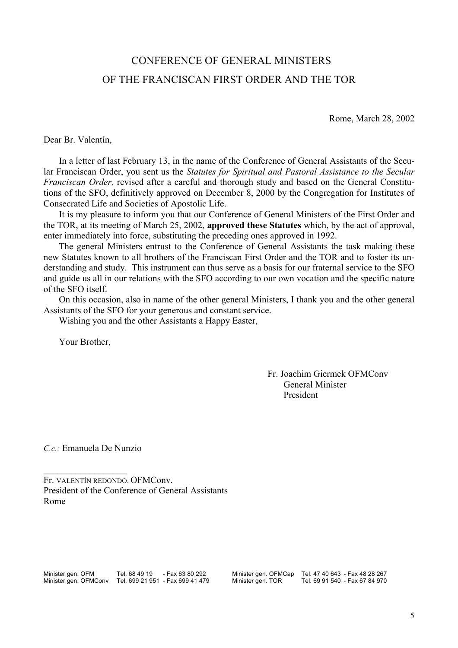## CONFERENCE OF GENERAL MINISTERS OF THE FRANCISCAN FIRST ORDER AND THE TOR

Rome, March 28, 2002

Dear Br. Valentín,

In a letter of last February 13, in the name of the Conference of General Assistants of the Secular Franciscan Order, you sent us the *Statutes for Spiritual and Pastoral Assistance to the Secular Franciscan Order,* revised after a careful and thorough study and based on the General Constitutions of the SFO, definitively approved on December 8, 2000 by the Congregation for Institutes of Consecrated Life and Societies of Apostolic Life.

It is my pleasure to inform you that our Conference of General Ministers of the First Order and the TOR, at its meeting of March 25, 2002, **approved these Statutes** which, by the act of approval, enter immediately into force, substituting the preceding ones approved in 1992.

The general Ministers entrust to the Conference of General Assistants the task making these new Statutes known to all brothers of the Franciscan First Order and the TOR and to foster its understanding and study. This instrument can thus serve as a basis for our fraternal service to the SFO and guide us all in our relations with the SFO according to our own vocation and the specific nature of the SFO itself.

On this occasion, also in name of the other general Ministers, I thank you and the other general Assistants of the SFO for your generous and constant service.

Wishing you and the other Assistants a Happy Easter,

Your Brother,

 Fr. Joachim Giermek OFMConv General Minister President

*C.c.:* Emanuela De Nunzio

 $\mathcal{L}_\text{max}$  , where  $\mathcal{L}_\text{max}$ 

Fr. VALENTÍN REDONDO, OFMConv. President of the Conference of General Assistants Rome

Minister gen. OFM Tel. 68 49 19 - Fax 63 80 292 Minister gen. OFMCap Tel. 47 40 643 - Fax 48 28 267<br>Minister gen. OFMConv Tel. 699 21 951 - Fax 699 41 479 Minister gen. TOR Tel. 69 91 540 - Fax 67 84 970 Minister gen. OFMConv Tel. 699 21 951 - Fax 699 41 479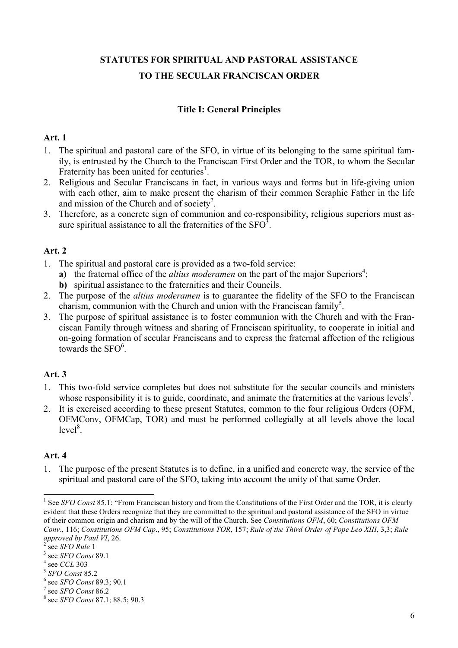## **STATUTES FOR SPIRITUAL AND PASTORAL ASSISTANCE TO THE SECULAR FRANCISCAN ORDER**

### **Title I: General Principles**

#### **Art. 1**

- 1. The spiritual and pastoral care of the SFO, in virtue of its belonging to the same spiritual family, is entrusted by the Church to the Franciscan First Order and the TOR, to whom the Secular Fraternity has been united for centuries<sup>1</sup>.
- 2. Religious and Secular Franciscans in fact, in various ways and forms but in life-giving union with each other, aim to make present the charism of their common Seraphic Father in the life and mission of the Church and of society<sup>2</sup>.
- 3. Therefore, as a concrete sign of communion and co-responsibility, religious superiors must assure spiritual assistance to all the fraternities of the  $SFO^3$ .

### **Art. 2**

- 1. The spiritual and pastoral care is provided as a two-fold service:
	- a) the fraternal office of the *altius moderamen* on the part of the major Superiors<sup>4</sup>;
	- **b)** spiritual assistance to the fraternities and their Councils.
- 2. The purpose of the *altius moderamen* is to guarantee the fidelity of the SFO to the Franciscan charism, communion with the Church and union with the Franciscan family<sup>5</sup>.
- 3. The purpose of spiritual assistance is to foster communion with the Church and with the Franciscan Family through witness and sharing of Franciscan spirituality, to cooperate in initial and on-going formation of secular Franciscans and to express the fraternal affection of the religious towards the  $SFO<sup>6</sup>$ .

## **Art. 3**

- 1. This two-fold service completes but does not substitute for the secular councils and ministers whose responsibility it is to guide, coordinate, and animate the fraternities at the various levels<sup>7</sup>.
- 2. It is exercised according to these present Statutes, common to the four religious Orders (OFM, OFMConv, OFMCap, TOR) and must be performed collegially at all levels above the local  $level<sup>8</sup>$ .

## **Art. 4**

1. The purpose of the present Statutes is to define, in a unified and concrete way, the service of the spiritual and pastoral care of the SFO, taking into account the unity of that same Order.

<sup>&</sup>lt;sup>1</sup> See *SFO Const* 85.1: "From Franciscan history and from the Constitutions of the First Order and the TOR, it is clearly evident that these Orders recognize that they are committed to the spiritual and pastoral assistance of the SFO in virtue of their common origin and charism and by the will of the Church. See *Constitutions OFM*, 60; *Constitutions OFM Conv*., 116; *Constitutions OFM Cap*., 95; *Constitutions TOR*, 157; *Rule of the Third Order of Pope Leo XIII*, 3,3; *Rule approved by Paul VI*, 26.<br><sup>2</sup> see *SFO Rule* 1

<sup>&</sup>lt;sup>2</sup> see *SFO Rule* 1<br><sup>3</sup> 300 SEO Const.

<sup>&</sup>lt;sup>3</sup> see *SFO Const* 89.1

see *CCL*<sup>303</sup> <sup>5</sup> *SFO Const* 85.2 <sup>6</sup>

see *SFO Const* 89.3; 90.1 <sup>7</sup>

see *SFO Const* 86.2

see *SFO Const* 87.1; 88.5; 90.3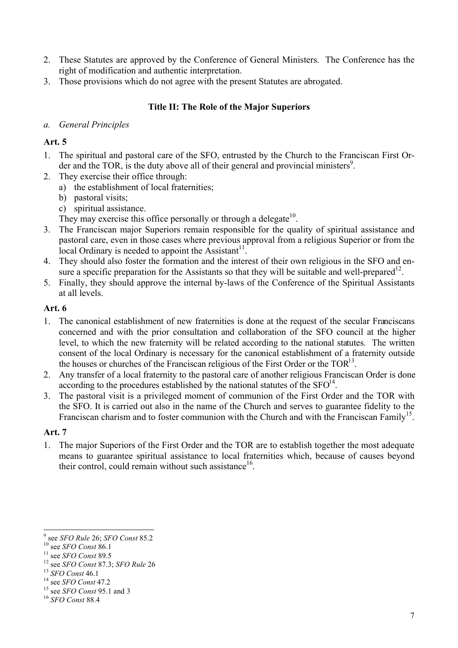- 2. These Statutes are approved by the Conference of General Ministers. The Conference has the right of modification and authentic interpretation.
- 3. Those provisions which do not agree with the present Statutes are abrogated.

## **Title II: The Role of the Major Superiors**

### *a. General Principles*

## **Art. 5**

- 1. The spiritual and pastoral care of the SFO, entrusted by the Church to the Franciscan First Order and the TOR, is the duty above all of their general and provincial ministers $9$ .
- 2. They exercise their office through:
	- a) the establishment of local fraternities;
	- b) pastoral visits;
	- c) spiritual assistance.
	- They may exercise this office personally or through a delegate<sup>10</sup>.
- 3. The Franciscan major Superiors remain responsible for the quality of spiritual assistance and pastoral care, even in those cases where previous approval from a religious Superior or from the local Ordinary is needed to appoint the Assistant<sup>11</sup>.
- 4. They should also foster the formation and the interest of their own religious in the SFO and ensure a specific preparation for the Assistants so that they will be suitable and well-prepared<sup>12</sup>.
- 5. Finally, they should approve the internal by-laws of the Conference of the Spiritual Assistants at all levels.

## **Art. 6**

- 1. The canonical establishment of new fraternities is done at the request of the secular Franciscans concerned and with the prior consultation and collaboration of the SFO council at the higher level, to which the new fraternity will be related according to the national statutes. The written consent of the local Ordinary is necessary for the canonical establishment of a fraternity outside the houses or churches of the Franciscan religious of the First Order or the  $TOR<sup>13</sup>$ .
- 2. Any transfer of a local fraternity to the pastoral care of another religious Franciscan Order is done according to the procedures established by the national statutes of the  $SFO<sup>14</sup>$ .
- 3. The pastoral visit is a privileged moment of communion of the First Order and the TOR with the SFO. It is carried out also in the name of the Church and serves to guarantee fidelity to the Franciscan charism and to foster communion with the Church and with the Franciscan Family<sup>15</sup>.

## **Art. 7**

1. The major Superiors of the First Order and the TOR are to establish together the most adequate means to guarantee spiritual assistance to local fraternities which, because of causes beyond their control, could remain without such assistance<sup>16</sup>.

<sup>&</sup>lt;sup>9</sup> see SFO Rule 26; SFO Const 85.2

<sup>&</sup>lt;sup>10</sup> see *SFO Const* 86.1<br>
<sup>11</sup> see *SFO Const* 89.5<br>
<sup>12</sup> see *SFO Const* 87.3; *SFO Rule* 26<br>
<sup>13</sup> *SFO Const* 46.1<br>
<sup>14</sup> see *SFO Const* 47.2<br>
<sup>15</sup> see *SFO Const* 95.1 and 3<br>
<sup>16</sup> *SFO Const* 88.4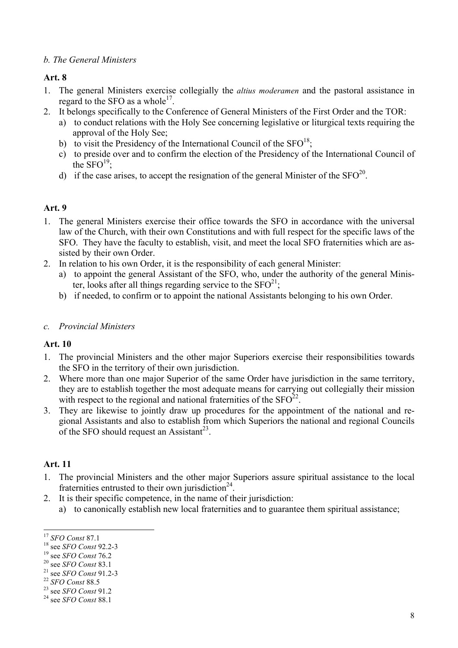#### *b. The General Ministers*

### **Art. 8**

- 1. The general Ministers exercise collegially the *altius moderamen* and the pastoral assistance in regard to the SFO as a whole<sup>17</sup>.
- 2. It belongs specifically to the Conference of General Ministers of the First Order and the TOR:
	- a) to conduct relations with the Holy See concerning legislative or liturgical texts requiring the approval of the Holy See;
	- b) to visit the Presidency of the International Council of the  $SFO<sup>18</sup>$ :
	- c) to preside over and to confirm the election of the Presidency of the International Council of the  $SFO<sup>19</sup>$ :
	- d) if the case arises, to accept the resignation of the general Minister of the  $SFO^{20}$ .

#### **Art. 9**

- 1. The general Ministers exercise their office towards the SFO in accordance with the universal law of the Church, with their own Constitutions and with full respect for the specific laws of the SFO. They have the faculty to establish, visit, and meet the local SFO fraternities which are assisted by their own Order.
- 2. In relation to his own Order, it is the responsibility of each general Minister:
	- a) to appoint the general Assistant of the SFO, who, under the authority of the general Minister, looks after all things regarding service to the  $SFO<sup>21</sup>$ ;
	- b) if needed, to confirm or to appoint the national Assistants belonging to his own Order.

#### *c. Provincial Ministers*

#### **Art. 10**

- 1. The provincial Ministers and the other major Superiors exercise their responsibilities towards the SFO in the territory of their own jurisdiction.
- 2. Where more than one major Superior of the same Order have jurisdiction in the same territory, they are to establish together the most adequate means for carrying out collegially their mission with respect to the regional and national fraternities of the  $SFO^{22}$ .
- 3. They are likewise to jointly draw up procedures for the appointment of the national and regional Assistants and also to establish from which Superiors the national and regional Councils of the SFO should request an Assistant<sup>23</sup>.

- 1. The provincial Ministers and the other major Superiors assure spiritual assistance to the local fraternities entrusted to their own jurisdiction<sup>24</sup>.
- 2. It is their specific competence, in the name of their jurisdiction:
	- a) to canonically establish new local fraternities and to guarantee them spiritual assistance;

<sup>&</sup>lt;sup>17</sup> *SFO Const* 87.1<br>
<sup>18</sup> see *SFO Const* 92.2-3<br>
<sup>19</sup> see *SFO Const* 76.2<br>
<sup>20</sup> see *SFO Const* 83.1<br>
<sup>21</sup> see *SFO Const* 91.2-3<br>
<sup>22</sup> *SFO Const* 88.5<br>
<sup>23</sup> see *SFO Const* 91.2<br>
<sup>24</sup> see *SFO Const* 88.1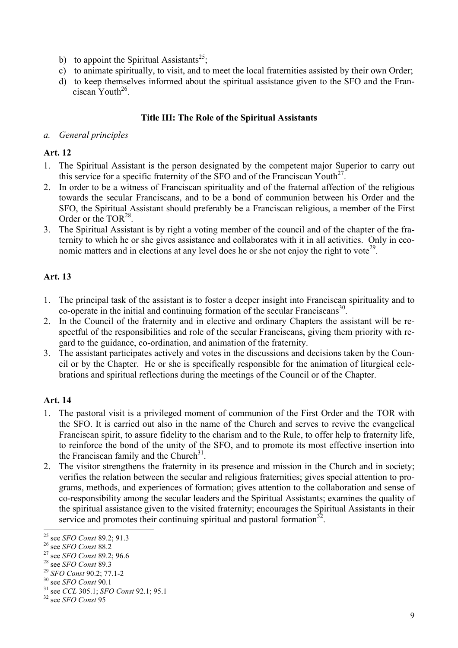- b) to appoint the Spiritual Assistants<sup>25</sup>;
- c) to animate spiritually, to visit, and to meet the local fraternities assisted by their own Order;
- d) to keep themselves informed about the spiritual assistance given to the SFO and the Franciscan Youth<sup>26</sup>.

### **Title III: The Role of the Spiritual Assistants**

#### *a. General principles*

## **Art. 12**

- 1. The Spiritual Assistant is the person designated by the competent major Superior to carry out this service for a specific fraternity of the SFO and of the Franciscan Youth<sup>27</sup>.
- 2. In order to be a witness of Franciscan spirituality and of the fraternal affection of the religious towards the secular Franciscans, and to be a bond of communion between his Order and the SFO, the Spiritual Assistant should preferably be a Franciscan religious, a member of the First Order or the TOR<sup>28</sup>.
- 3. The Spiritual Assistant is by right a voting member of the council and of the chapter of the fraternity to which he or she gives assistance and collaborates with it in all activities. Only in economic matters and in elections at any level does he or she not enjoy the right to vote<sup>29</sup>.

## **Art. 13**

- 1. The principal task of the assistant is to foster a deeper insight into Franciscan spirituality and to  $\alpha$ -operate in the initial and continuing formation of the secular Franciscans<sup>30</sup>.
- 2. In the Council of the fraternity and in elective and ordinary Chapters the assistant will be respectful of the responsibilities and role of the secular Franciscans, giving them priority with regard to the guidance, co-ordination, and animation of the fraternity.
- 3. The assistant participates actively and votes in the discussions and decisions taken by the Council or by the Chapter. He or she is specifically responsible for the animation of liturgical celebrations and spiritual reflections during the meetings of the Council or of the Chapter.

- 1. The pastoral visit is a privileged moment of communion of the First Order and the TOR with the SFO. It is carried out also in the name of the Church and serves to revive the evangelical Franciscan spirit, to assure fidelity to the charism and to the Rule, to offer help to fraternity life, to reinforce the bond of the unity of the SFO, and to promote its most effective insertion into the Franciscan family and the Church $31$ .
- 2. The visitor strengthens the fraternity in its presence and mission in the Church and in society; verifies the relation between the secular and religious fraternities; gives special attention to programs, methods, and experiences of formation; gives attention to the collaboration and sense of co-responsibility among the secular leaders and the Spiritual Assistants; examines the quality of the spiritual assistance given to the visited fraternity; encourages the Spiritual Assistants in their service and promotes their continuing spiritual and pastoral formation<sup>32</sup>.<br>
<sup>25</sup> see *SFO Const* 89.2; 91.3<br>
<sup>26</sup> see *SFO Const* 88.2<br>
<sup>27</sup> see *SFO Const* 89.2; 96.6<br>
<sup>28</sup> see *SFO Const* 89.3<br>
<sup>29</sup> *SFO Const* 90.2; 7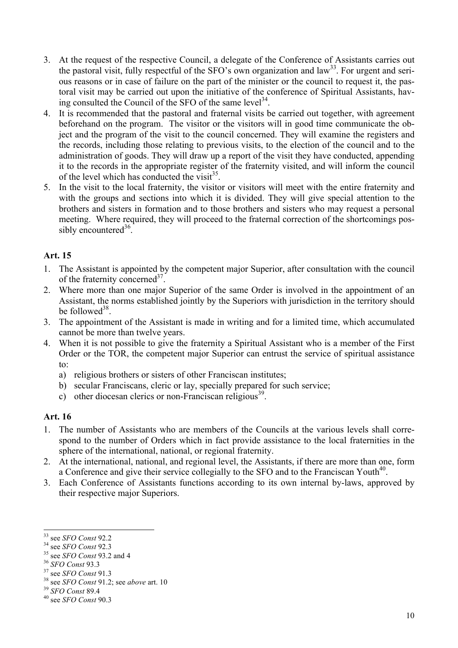- 3. At the request of the respective Council, a delegate of the Conference of Assistants carries out the pastoral visit, fully respectful of the SFO's own organization and  $law<sup>33</sup>$ . For urgent and serious reasons or in case of failure on the part of the minister or the council to request it, the pastoral visit may be carried out upon the initiative of the conference of Spiritual Assistants, having consulted the Council of the SFO of the same level  $34$ .
- 4. It is recommended that the pastoral and fraternal visits be carried out together, with agreement beforehand on the program. The visitor or the visitors will in good time communicate the object and the program of the visit to the council concerned. They will examine the registers and the records, including those relating to previous visits, to the election of the council and to the administration of goods. They will draw up a report of the visit they have conducted, appending it to the records in the appropriate register of the fraternity visited, and will inform the council of the level which has conducted the visit  $35$ .
- 5. In the visit to the local fraternity, the visitor or visitors will meet with the entire fraternity and with the groups and sections into which it is divided. They will give special attention to the brothers and sisters in formation and to those brothers and sisters who may request a personal meeting. Where required, they will proceed to the fraternal correction of the shortcomings possibly encountered  $36$ .

### **Art. 15**

- 1. The Assistant is appointed by the competent major Superior, after consultation with the council of the fraternity concerned<sup>37</sup>.
- 2. Where more than one major Superior of the same Order is involved in the appointment of an Assistant, the norms established jointly by the Superiors with jurisdiction in the territory should be followed $38$ .
- 3. The appointment of the Assistant is made in writing and for a limited time, which accumulated cannot be more than twelve years.
- 4. When it is not possible to give the fraternity a Spiritual Assistant who is a member of the First Order or the TOR, the competent major Superior can entrust the service of spiritual assistance to:
	- a) religious brothers or sisters of other Franciscan institutes;
	- b) secular Franciscans, cleric or lay, specially prepared for such service;
	- c) other diocesan clerics or non-Franciscan religious<sup>39</sup>.

- 1. The number of Assistants who are members of the Councils at the various levels shall correspond to the number of Orders which in fact provide assistance to the local fraternities in the sphere of the international, national, or regional fraternity.
- 2. At the international, national, and regional level, the Assistants, if there are more than one, form a Conference and give their service collegially to the SFO and to the Franciscan Youth<sup>40</sup>.
- 3. Each Conference of Assistants functions according to its own internal by-laws, approved by their respective major Superiors.

<sup>&</sup>lt;sup>33</sup> see *SFO Const* 92.2<br>
<sup>34</sup> see *SFO Const* 92.3<br>
<sup>35</sup> see *SFO Const* 93.2 and 4<br>
<sup>36</sup> *SFO Const* 93.3<br>
<sup>37</sup> see *SFO Const* 91.3<br>
<sup>38</sup> see *SFO Const* 91.2; see *above* art. 10<br>
<sup>39</sup> *SFO Const* 89.4<br>
<sup>40</sup> see *SFO*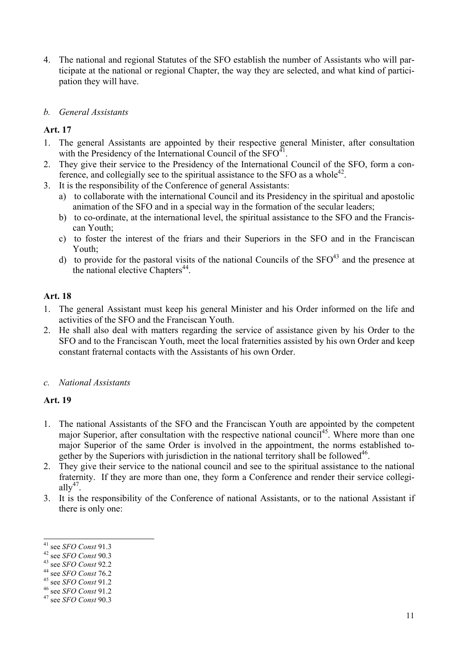- 4. The national and regional Statutes of the SFO establish the number of Assistants who will participate at the national or regional Chapter, the way they are selected, and what kind of participation they will have.
- *b. General Assistants*

## **Art. 17**

- 1. The general Assistants are appointed by their respective general Minister, after consultation with the Presidency of the International Council of the  $SFO<sup>41</sup>$ .
- 2. They give their service to the Presidency of the International Council of the SFO, form a conference, and collegially see to the spiritual assistance to the SFO as a whole<sup>42</sup>.
- 3. It is the responsibility of the Conference of general Assistants:
	- a) to collaborate with the international Council and its Presidency in the spiritual and apostolic animation of the SFO and in a special way in the formation of the secular leaders;
	- b) to co-ordinate, at the international level, the spiritual assistance to the SFO and the Franciscan Youth;
	- c) to foster the interest of the friars and their Superiors in the SFO and in the Franciscan Youth;
	- d) to provide for the pastoral visits of the national Councils of the  $SFO<sup>43</sup>$  and the presence at the national elective Chapters $^{44}$ .

#### **Art. 18**

- 1. The general Assistant must keep his general Minister and his Order informed on the life and activities of the SFO and the Franciscan Youth.
- 2. He shall also deal with matters regarding the service of assistance given by his Order to the SFO and to the Franciscan Youth, meet the local fraternities assisted by his own Order and keep constant fraternal contacts with the Assistants of his own Order.

#### *c. National Assistants*

- 1. The national Assistants of the SFO and the Franciscan Youth are appointed by the competent major Superior, after consultation with the respective national council<sup>45</sup>. Where more than one major Superior of the same Order is involved in the appointment, the norms established together by the Superiors with jurisdiction in the national territory shall be followed<sup>46</sup>.
- 2. They give their service to the national council and see to the spiritual assistance to the national fraternity. If they are more than one, they form a Conference and render their service collegiall $v^{47}$ .
- 3. It is the responsibility of the Conference of national Assistants, or to the national Assistant if there is only one:

 <sup>41</sup> see *SFO Const* 91.3 42 see *SFO Const* 90.3 43 see *SFO Const* 92.2 44 see *SFO Const* 76.2 45 see *SFO Const* 91.2 46 see *SFO Const* 91.2 47 see *SFO Const* 90.3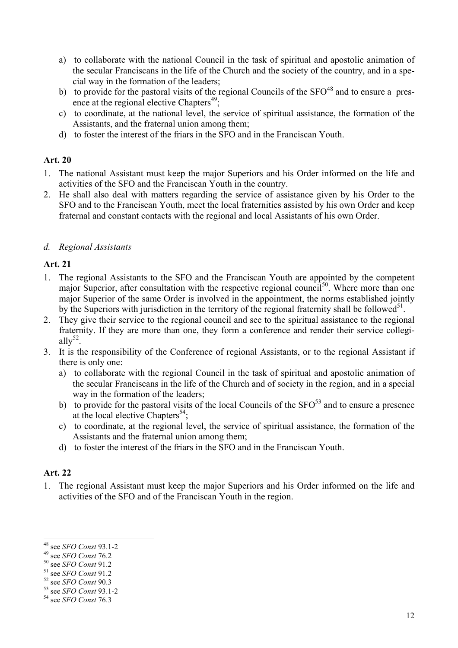- a) to collaborate with the national Council in the task of spiritual and apostolic animation of the secular Franciscans in the life of the Church and the society of the country, and in a special way in the formation of the leaders;
- b) to provide for the pastoral visits of the regional Councils of the  $SFO^{48}$  and to ensure a presence at the regional elective Chapters<sup>49</sup>;
- c) to coordinate, at the national level, the service of spiritual assistance, the formation of the Assistants, and the fraternal union among them;
- d) to foster the interest of the friars in the SFO and in the Franciscan Youth.

### **Art. 20**

- 1. The national Assistant must keep the major Superiors and his Order informed on the life and activities of the SFO and the Franciscan Youth in the country.
- 2. He shall also deal with matters regarding the service of assistance given by his Order to the SFO and to the Franciscan Youth, meet the local fraternities assisted by his own Order and keep fraternal and constant contacts with the regional and local Assistants of his own Order.

### *d. Regional Assistants*

### **Art. 21**

- 1. The regional Assistants to the SFO and the Franciscan Youth are appointed by the competent major Superior, after consultation with the respective regional council<sup>50</sup>. Where more than one major Superior of the same Order is involved in the appointment, the norms established jointly by the Superiors with jurisdiction in the territory of the regional fraternity shall be followed<sup>51</sup>.
- 2. They give their service to the regional council and see to the spiritual assistance to the regional fraternity. If they are more than one, they form a conference and render their service collegiall $v^{52}$ .
- 3. It is the responsibility of the Conference of regional Assistants, or to the regional Assistant if there is only one:
	- a) to collaborate with the regional Council in the task of spiritual and apostolic animation of the secular Franciscans in the life of the Church and of society in the region, and in a special way in the formation of the leaders;
	- b) to provide for the pastoral visits of the local Councils of the  $SFO<sup>53</sup>$  and to ensure a presence at the local elective Chapters<sup>54</sup>;
	- c) to coordinate, at the regional level, the service of spiritual assistance, the formation of the Assistants and the fraternal union among them;
	- d) to foster the interest of the friars in the SFO and in the Franciscan Youth.

## **Art. 22**

1. The regional Assistant must keep the major Superiors and his Order informed on the life and activities of the SFO and of the Franciscan Youth in the region.

<sup>48</sup> see *SFO Const* 93.1-2<br><sup>49</sup> see *SFO Const* 76.2<br><sup>50</sup> see *SFO Const* 91.2<br><sup>51</sup> see *SFO Const* 90.3<br><sup>53</sup> see *SFO Const* 93.1-2<br><sup>54</sup> see *SFO Const* 76.3